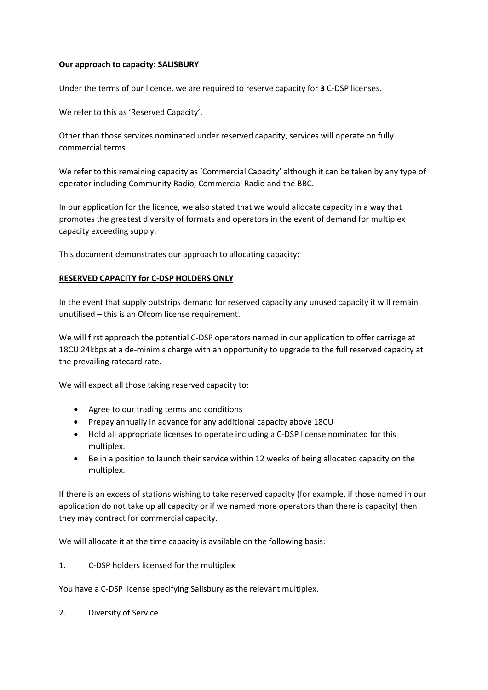#### **Our approach to capacity: SALISBURY**

Under the terms of our licence, we are required to reserve capacity for **3** C-DSP licenses.

We refer to this as 'Reserved Capacity'.

Other than those services nominated under reserved capacity, services will operate on fully commercial terms.

We refer to this remaining capacity as 'Commercial Capacity' although it can be taken by any type of operator including Community Radio, Commercial Radio and the BBC.

In our application for the licence, we also stated that we would allocate capacity in a way that promotes the greatest diversity of formats and operators in the event of demand for multiplex capacity exceeding supply.

This document demonstrates our approach to allocating capacity:

#### **RESERVED CAPACITY for C-DSP HOLDERS ONLY**

In the event that supply outstrips demand for reserved capacity any unused capacity it will remain unutilised – this is an Ofcom license requirement.

We will first approach the potential C-DSP operators named in our application to offer carriage at 18CU 24kbps at a de-minimis charge with an opportunity to upgrade to the full reserved capacity at the prevailing ratecard rate.

We will expect all those taking reserved capacity to:

- Agree to our trading terms and conditions
- Prepay annually in advance for any additional capacity above 18CU
- Hold all appropriate licenses to operate including a C-DSP license nominated for this multiplex.
- Be in a position to launch their service within 12 weeks of being allocated capacity on the multiplex.

If there is an excess of stations wishing to take reserved capacity (for example, if those named in our application do not take up all capacity or if we named more operators than there is capacity) then they may contract for commercial capacity.

We will allocate it at the time capacity is available on the following basis:

1. C-DSP holders licensed for the multiplex

You have a C-DSP license specifying Salisbury as the relevant multiplex.

2. Diversity of Service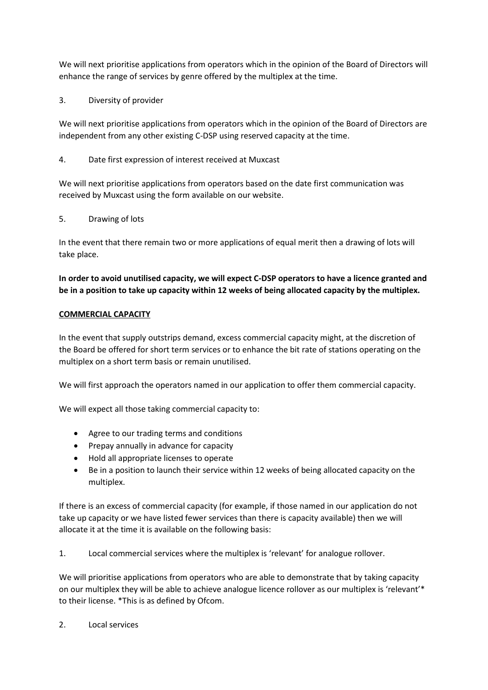We will next prioritise applications from operators which in the opinion of the Board of Directors will enhance the range of services by genre offered by the multiplex at the time.

3. Diversity of provider

We will next prioritise applications from operators which in the opinion of the Board of Directors are independent from any other existing C-DSP using reserved capacity at the time.

4. Date first expression of interest received at Muxcast

We will next prioritise applications from operators based on the date first communication was received by Muxcast using the form available on our website.

5. Drawing of lots

In the event that there remain two or more applications of equal merit then a drawing of lots will take place.

**In order to avoid unutilised capacity, we will expect C-DSP operators to have a licence granted and be in a position to take up capacity within 12 weeks of being allocated capacity by the multiplex.**

## **COMMERCIAL CAPACITY**

In the event that supply outstrips demand, excess commercial capacity might, at the discretion of the Board be offered for short term services or to enhance the bit rate of stations operating on the multiplex on a short term basis or remain unutilised.

We will first approach the operators named in our application to offer them commercial capacity.

We will expect all those taking commercial capacity to:

- Agree to our trading terms and conditions
- Prepay annually in advance for capacity
- Hold all appropriate licenses to operate
- Be in a position to launch their service within 12 weeks of being allocated capacity on the multiplex.

If there is an excess of commercial capacity (for example, if those named in our application do not take up capacity or we have listed fewer services than there is capacity available) then we will allocate it at the time it is available on the following basis:

1. Local commercial services where the multiplex is 'relevant' for analogue rollover.

We will prioritise applications from operators who are able to demonstrate that by taking capacity on our multiplex they will be able to achieve analogue licence rollover as our multiplex is 'relevant'\* to their license. \*This is as defined by Ofcom.

2. Local services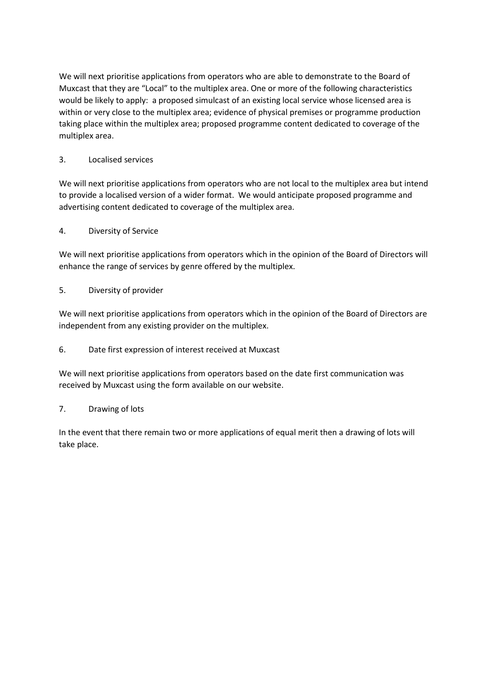We will next prioritise applications from operators who are able to demonstrate to the Board of Muxcast that they are "Local" to the multiplex area. One or more of the following characteristics would be likely to apply: a proposed simulcast of an existing local service whose licensed area is within or very close to the multiplex area; evidence of physical premises or programme production taking place within the multiplex area; proposed programme content dedicated to coverage of the multiplex area.

## 3. Localised services

We will next prioritise applications from operators who are not local to the multiplex area but intend to provide a localised version of a wider format. We would anticipate proposed programme and advertising content dedicated to coverage of the multiplex area.

## 4. Diversity of Service

We will next prioritise applications from operators which in the opinion of the Board of Directors will enhance the range of services by genre offered by the multiplex.

## 5. Diversity of provider

We will next prioritise applications from operators which in the opinion of the Board of Directors are independent from any existing provider on the multiplex.

# 6. Date first expression of interest received at Muxcast

We will next prioritise applications from operators based on the date first communication was received by Muxcast using the form available on our website.

## 7. Drawing of lots

In the event that there remain two or more applications of equal merit then a drawing of lots will take place.